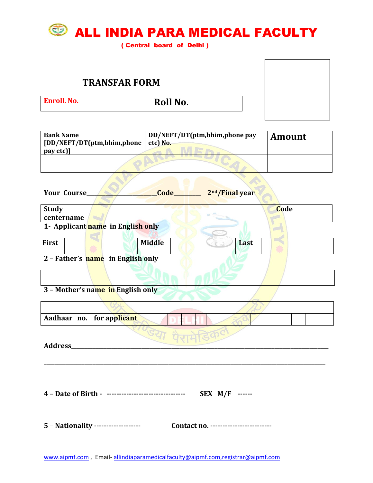

( Central board of Delhi )

|                    | <b>TRANSFAR FORM</b> |  |
|--------------------|----------------------|--|
| <b>Enroll. No.</b> | <b>Roll No.</b>      |  |
|                    |                      |  |

| <b>Bank Name</b>                                     | DD/NEFT/DT(ptm,bhim,phone pay        | <b>Amount</b> |  |  |  |
|------------------------------------------------------|--------------------------------------|---------------|--|--|--|
| [DD/NEFT/DT(ptm,bhim,phone                           | etc) No.                             |               |  |  |  |
| pay etc)]                                            |                                      |               |  |  |  |
|                                                      |                                      |               |  |  |  |
| Your Course_                                         | Code_<br>2 <sup>nd</sup> /Final year |               |  |  |  |
| <b>Study</b>                                         |                                      | Code          |  |  |  |
| centername                                           |                                      |               |  |  |  |
| 1- Applicant name in English only                    |                                      |               |  |  |  |
| First                                                | <b>Middle</b><br>Last                |               |  |  |  |
| 2 - Father's name in English only                    |                                      |               |  |  |  |
|                                                      |                                      |               |  |  |  |
| 3 - Mother's name in English only                    |                                      |               |  |  |  |
|                                                      |                                      |               |  |  |  |
| for applicant<br>Aadhaar no.                         |                                      |               |  |  |  |
| Address                                              | <b>Ech</b>                           |               |  |  |  |
| 4 - Date of Birth - -------------------------------- | SEX M/F ------                       |               |  |  |  |
| 5 - Nationality ------------------                   | Contact no. ------------------------ |               |  |  |  |